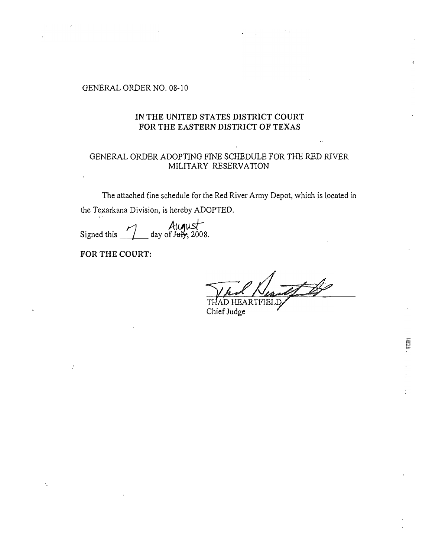## GENERAL ORDER NO. 08-10

## IN THE UNITED STATES DISTRICT COURT FOR THE EASTERN DISTRICT OF TEXAS

## GENERAL ORDER ADOPTING FINE SCHEDULE FOR THE RED RJVER MILITARY RESERVATION

The attached fine schedule for the Red River Army Depot, which is located in the Texarkana Division, is hereby ADOPTED.  $\ddot{\phantom{0}}$ 

Signed this  $\frac{\text{August}}{\text{day of }1000}$ .

FOR THE COURT:

f

**THE REAL** 

RTFIEL Chief Judge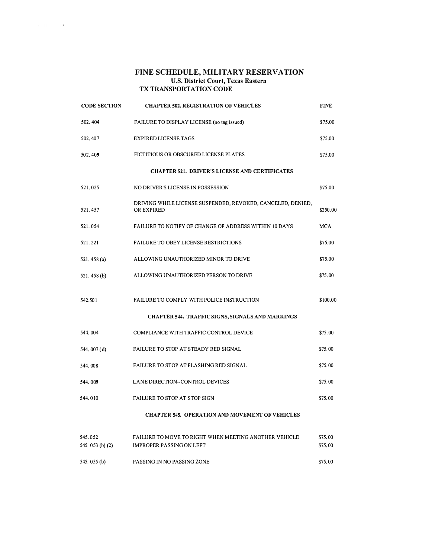## FINE SCHEDULE, MILITARY RESERVATION U.S. District Court, Texas Eastern TX TRANSPORTATION CODE

 $\label{eq:1} \mathbf{r} = \mathbf{r} \left( \mathbf{r}^{\text{max}}_{\text{max}} \right) \mathbf{r}^{\text{max}}_{\text{max}}$ 

| <b>CODE SECTION</b>                                    | <b>CHAPTER 502. REGISTRATION OF VEHICLES</b>                                             | <b>FINE</b>        |  |  |
|--------------------------------------------------------|------------------------------------------------------------------------------------------|--------------------|--|--|
| 502, 404                                               | FAILURE TO DISPLAY LICENSE (no tag issued)                                               | \$75,00            |  |  |
| 502, 407                                               | <b>EXPIRED LICENSE TAGS</b>                                                              | \$75,00            |  |  |
| 502.409                                                | FICTITIOUS OR OBSCURED LICENSE PLATES                                                    | \$75,00            |  |  |
| <b>CHAPTER 521. DRIVER'S LICENSE AND CERTIFICATES</b>  |                                                                                          |                    |  |  |
| 521.025                                                | NO DRIVER'S LICENSE IN POSSESSION                                                        | \$75.00            |  |  |
| 521, 457                                               | DRIVING WHILE LICENSE SUSPENDED, REVOKED, CANCELED, DENIED,<br>OR EXPIRED                | \$250,00           |  |  |
| 521.054                                                | FAILURE TO NOTIFY OF CHANGE OF ADDRESS WITHIN 10 DAYS                                    | <b>MCA</b>         |  |  |
| 521.221                                                | <b>FAILURE TO OBEY LICENSE RESTRICTIONS</b>                                              | \$75.00            |  |  |
| 521, 458 (a)                                           | ALLOWING UNAUTHORIZED MINOR TO DRIVE                                                     | \$75.00            |  |  |
| 521, 458 (b)                                           | ALLOWING UNAUTHORIZED PERSON TO DRIVE                                                    | \$75.00            |  |  |
| 542.501                                                | FAILURE TO COMPLY WITH POLICE INSTRUCTION                                                | \$100.00           |  |  |
|                                                        | <b>CHAPTER 544. TRAFFIC SIGNS, SIGNALS AND MARKINGS</b>                                  |                    |  |  |
| 544,004                                                | COMPLIANCE WITH TRAFFIC CONTROL DEVICE                                                   | \$75.00            |  |  |
| 544, 007 (d)                                           | FAILURE TO STOP AT STEADY RED SIGNAL                                                     | \$75,00            |  |  |
| 544,008                                                | FAILURE TO STOP AT FLASHING RED SIGNAL                                                   | \$75.00            |  |  |
| 544, 009                                               | LANE DIRECTION--CONTROL DEVICES                                                          | \$75,00            |  |  |
| 544,010                                                | <b>FAILURE TO STOP AT STOP SIGN</b>                                                      | \$75,00            |  |  |
| <b>CHAPTER 545. OPERATION AND MOVEMENT OF VEHICLES</b> |                                                                                          |                    |  |  |
| 545,052<br>545, 053 (b) (2)                            | FAILURE TO MOVE TO RIGHT WHEN MEETING ANOTHER VEHICLE<br><b>IMPROPER PASSING ON LEFT</b> | \$75,00<br>\$75,00 |  |  |
| 545, 055 (b)                                           | PASSING IN NO PASSING ZONE                                                               | \$75,00            |  |  |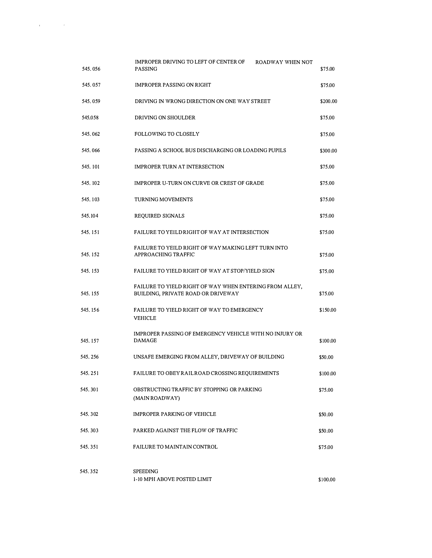| 545, 056 | <b>IMPROPER DRIVING TO LEFT OF CENTER OF</b><br>ROADWAY WHEN NOT<br><b>PASSING</b>            | \$75.00  |
|----------|-----------------------------------------------------------------------------------------------|----------|
| 545.057  | <b>IMPROPER PASSING ON RIGHT</b>                                                              | \$75.00  |
| 545.059  | DRIVING IN WRONG DIRECTION ON ONE WAY STREET                                                  | \$200.00 |
| 545.058  | DRIVING ON SHOULDER                                                                           | \$75.00  |
| 545, 062 | <b>FOLLOWING TO CLOSELY</b>                                                                   | \$75.00  |
| 545,066  | PASSING A SCHOOL BUS DISCHARGING OR LOADING PUPILS                                            | \$300,00 |
| 545, 101 | <b>IMPROPER TURN AT INTERSECTION</b>                                                          | \$75.00  |
| 545, 102 | <b>IMPROPER U-TURN ON CURVE OR CREST OF GRADE</b>                                             | \$75.00  |
| 545, 103 | <b>TURNING MOVEMENTS</b>                                                                      | \$75.00  |
| 545, 104 | REQUIRED SIGNALS                                                                              | \$75.00  |
| 545.151  | FAILURE TO YEILD RIGHT OF WAY AT INTERSECTION                                                 | \$75.00  |
| 545.152  | FAILURE TO YEILD RIGHT OF WAY MAKING LEFT TURN INTO<br>APPROACHING TRAFFIC                    | \$75.00  |
| 545.153  | FAILURE TO YIELD RIGHT OF WAY AT STOP/YIELD SIGN                                              | \$75,00  |
| 545, 155 | FAILURE TO YIELD RIGHT OF WAY WHEN ENTERING FROM ALLEY,<br>BUILDING, PRIVATE ROAD OR DRIVEWAY | \$75.00  |
| 545, 156 | FAILURE TO YIELD RIGHT OF WAY TO EMERGENCY<br>VEHICLE                                         | \$150,00 |
| 545, 157 | IMPROPER PASSING OF EMERGENCY VEHICLE WITH NO INJURY OR<br><b>DAMAGE</b>                      | \$100,00 |
| 545.256  | UNSAFE EMERGING FROM ALLEY, DRIVEWAY OF BUILDING                                              | \$50.00  |
| 545, 251 | FAILURE TO OBEY RAIL ROAD CROSSING REQUIREMENTS                                               | \$100.00 |
| 545, 301 | OBSTRUCTING TRAFFIC BY STOPPING OR PARKING<br>(MAIN ROADWAY)                                  | \$75,00  |
| 545, 302 | <b>IMPROPER PARKING OF VEHICLE</b>                                                            | \$50.00  |
| 545, 303 | PARKED AGAINST THE FLOW OF TRAFFIC                                                            | \$50,00  |
| 545, 351 | FAILURE TO MAINTAIN CONTROL                                                                   | \$75.00  |
| 545, 352 | <b>SPEEDING</b><br>1-10 MPH ABOVE POSTED LIMIT                                                | \$100.00 |

 $\label{eq:2.1} \mathcal{L}(\mathbf{r}) = \mathcal{L}(\mathbf{r}) \mathcal{L}(\mathbf{r}) = \mathcal{L}(\mathbf{r}) \mathcal{L}(\mathbf{r})$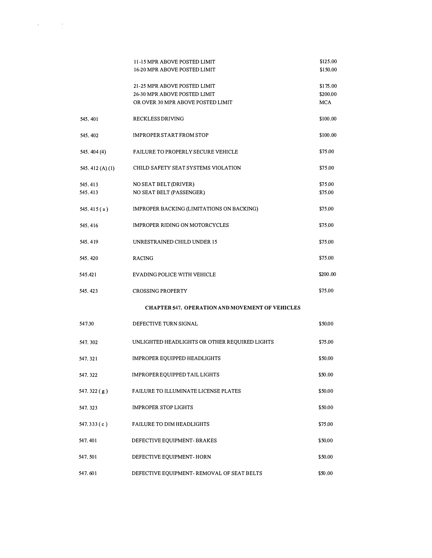|                     | 11-15 MPR ABOVE POSTED LIMIT<br>16-20 MPR ABOVE POSTED LIMIT                                      | \$125,00<br>\$150,00        |
|---------------------|---------------------------------------------------------------------------------------------------|-----------------------------|
|                     | 21-25 MPR ABOVE POSTED LIMIT<br>26-30 MPR ABOVE POSTED LIMIT<br>OR OVER 30 MPR ABOVE POSTED LIMIT | \$175,00<br>\$200,00<br>MCA |
| 545, 401            | RECKLESS DRIVING                                                                                  | \$100.00                    |
| 545.402             | <b>IMPROPER START FROM STOP</b>                                                                   | \$100.00                    |
| 545, 404 (4)        | <b>FAILURE TO PROPERLY SECURE VEHICLE</b>                                                         | \$75.00                     |
| 545, 412 $(A)(1)$   | CHILD SAFETY SEAT SYSTEMS VIOLATION                                                               | \$75.00                     |
| 545, 413<br>545,413 | NO SEAT BELT (DRIVER)<br>NO SEAT BELT (PASSENGER)                                                 | \$75.00<br>\$75.00          |
| 545.415 $(a)$       | IMPROPER BACKING (LIMITATIONS ON BACKING)                                                         | \$75.00                     |
| 545.416             | <b>IMPROPER RIDING ON MOTORCYCLES</b>                                                             | \$75.00                     |
| 545.419             | UNRESTRAINED CHILD UNDER 15                                                                       | \$75.00                     |
| 545, 420            | <b>RACING</b>                                                                                     | \$75.00                     |
| 545.421             | <b>EVADING POLICE WITH VEHICLE</b>                                                                | \$200.00                    |
| 545.423             | <b>CROSSING PROPERTY</b>                                                                          | \$75.00                     |
|                     | <b>CHAPTER 547. OPERATION AND MOVEMENT OF VEHICLES</b>                                            |                             |
| 547.30              | DEFECTIVE TURN SIGNAL                                                                             | \$50,00                     |
| 547, 302            | UNLIGHTED HEADLIGHTS OR OTHER REQUIRED LIGHTS                                                     | \$75.00                     |
| 547.321             | <b>IMPROPER EQUIPPED HEADLIGHTS</b>                                                               | \$50,00                     |
| 547.322             | IMPROPEREQUIPPED TAIL LIGHTS                                                                      | \$50,00                     |
| 547.322 $(g)$       | <b>FAILURE TO ILLUMINATE LICENSE PLATES</b>                                                       | \$50.00                     |
| 547, 323            | <b>IMPROPER STOP LIGHTS</b>                                                                       | \$50.00                     |
| 547.333 $(c)$       | <b>FAILURE TO DIM HEADLIGHTS</b>                                                                  | \$75.00                     |
| 547.401             | DEFECTIVE EQUIPMENT-BRAKES                                                                        | \$50.00                     |
| 547, 501            | DEFECTIVE EQUIPMENT-HORN                                                                          | \$50.00                     |
| 547.601             | DEFECTIVE EQUIPMENT- REMOVAL OF SEAT BELTS                                                        | \$50.00                     |
|                     |                                                                                                   |                             |

 $\label{eq:2.1} \begin{array}{ccccc} \mathbb{E} & & & \mathbb{E} & & \mathbb{E} \\ & & & \mathbb{E} & & \mathbb{E} \\ & & & \mathbb{E} & & \mathbb{E} \\ & & & & \mathbb{E} & & \mathbb{E} \\ & & & & \mathbb{E} & & \mathbb{E} \\ & & & & \mathbb{E} & & \mathbb{E} \\ \end{array}$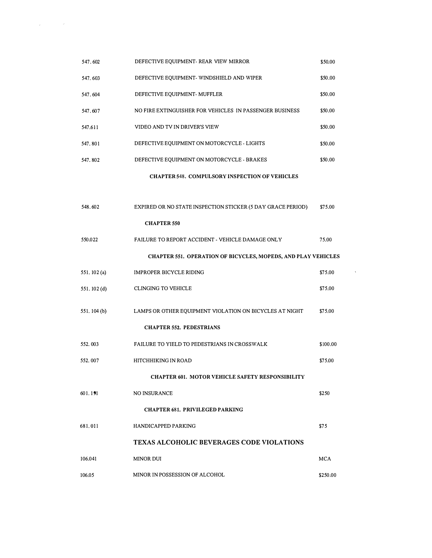| 547.602                                                 | DEFECTIVE EQUIPMENT- REAR VIEW MIRROR                                | \$50.00    |  |  |
|---------------------------------------------------------|----------------------------------------------------------------------|------------|--|--|
| 547.603                                                 | DEFECTIVE EQUIPMENT- WINDSHIELD AND WIPER                            | \$50,00    |  |  |
| 547.604                                                 | DEFECTIVE EQUIPMENT- MUFFLER                                         | \$50,00    |  |  |
| 547.607                                                 | NO FIRE EXTINGUISHER FOR VEHICLES IN PASSENGER BUSINESS              | \$50,00    |  |  |
| 547.611                                                 | VIDEO AND TV IN DRIVER'S VIEW                                        | \$50,00    |  |  |
| 547.801                                                 | DEFECTIVE EQUIPMENT ON MOTORCYCLE - LIGHTS                           | \$50.00    |  |  |
| 547.802                                                 | DEFECTIVE EQUIPMENT ON MOTORCYCLE - BRAKES                           | \$50,00    |  |  |
|                                                         | <b>CHAPTER 548. COMPULSORY INSPECTION OF VEHICLES</b>                |            |  |  |
|                                                         |                                                                      |            |  |  |
| 548.602                                                 | EXPIRED OR NO STATE INSPECTION STICKER (5 DAY GRACE PERIOD)          | \$75.00    |  |  |
|                                                         | <b>CHAPTER 550</b>                                                   |            |  |  |
| 550,022                                                 | FAILURE TO REPORT ACCIDENT - VEHICLE DAMAGE ONLY                     | 75,00      |  |  |
|                                                         | <b>CHAPTER 551. OPERATION OF BICYCLES, MOPEDS, AND PLAY VEHICLES</b> |            |  |  |
| 551.102(a)                                              | <b>IMPROPER BICYCLE RIDING</b>                                       | \$75.00    |  |  |
| 551, 102 (d)                                            | <b>CLINGING TO VEHICLE</b>                                           | \$75.00    |  |  |
| 551.104 (b)                                             | LAMPS OR OTHER EQUIPMENT VIOLATION ON BICYCLES AT NIGHT              | \$75,00    |  |  |
|                                                         | <b>CHAPTER 552. PEDESTRIANS</b>                                      |            |  |  |
| 552,003                                                 | FAILURE TO YIELD TO PEDESTRIANS IN CROSSWALK                         | \$100.00   |  |  |
| 552.007                                                 | HITCHHIKING IN ROAD                                                  | \$75.00    |  |  |
| <b>CHAPTER 601. MOTOR VEHICLE SAFETY RESPONSIBILITY</b> |                                                                      |            |  |  |
| 601, 191                                                | NO INSURANCE                                                         | \$250      |  |  |
|                                                         | <b>CHAPTER 681. PRIVILEGED PARKING</b>                               |            |  |  |
| 681.011                                                 | <b>HANDICAPPED PARKING</b>                                           | \$75       |  |  |
|                                                         | <b>TEXAS ALCOHOLIC BEVERAGES CODE VIOLATIONS</b>                     |            |  |  |
| 106.041                                                 | <b>MINOR DUI</b>                                                     | <b>MCA</b> |  |  |
| 106.05                                                  | MINOR IN POSSESSION OF ALCOHOL                                       | \$250.00   |  |  |

 $\label{eq:R1} \hat{R} = \frac{1}{2} \sum_{i=1}^N \hat{R}_i \hat{R}_i \hat{R}_i \hat{R}_i \hat{R}_i \hat{R}_i \hat{R}_i \hat{R}_i \hat{R}_i \hat{R}_i \hat{R}_i \hat{R}_i \hat{R}_i \hat{R}_i \hat{R}_i \hat{R}_i \hat{R}_i \hat{R}_i \hat{R}_i \hat{R}_i \hat{R}_i \hat{R}_i \hat{R}_i \hat{R}_i \hat{R}_i \hat{R}_i \hat{R}_i \hat{R}_i \hat{R}_i \hat{R}_i \hat{R}_i \hat{R$